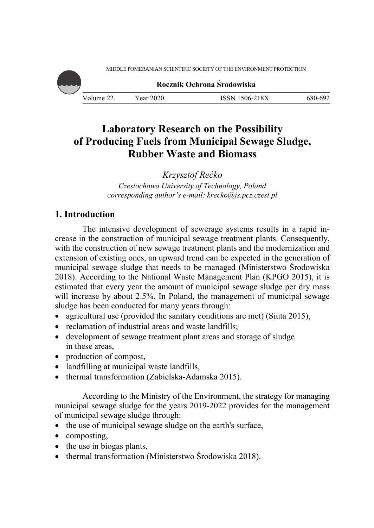MIDDLE POMERANIAN SCIENTIFIC SOCIETY OF THE ENVIRONMENT PROTECTION



**Rocznik Ochrona Środowiska**

Volume 22. Year 2020 ISSN 1506-218X 680-692

# **Laboratory Research on the Possibility of Producing Fuels from Municipal Sewage Sludge, Rubber Waste and Biomass**

*Krzysztof Rećko* 

*Czestochowa University of Technology, Poland corresponding author's e-mail: krecko@is.pcz.czest.pl* 

# **1. Introduction**

The intensive development of sewerage systems results in a rapid increase in the construction of municipal sewage treatment plants. Consequently, with the construction of new sewage treatment plants and the modernization and extension of existing ones, an upward trend can be expected in the generation of municipal sewage sludge that needs to be managed (Ministerstwo Środowiska 2018). According to the National Waste Management Plan (KPGO 2015), it is estimated that every year the amount of municipal sewage sludge per dry mass will increase by about 2.5%. In Poland, the management of municipal sewage sludge has been conducted for many years through:

- agricultural use (provided the sanitary conditions are met) (Siuta 2015),
- reclamation of industrial areas and waste landfills;
- development of sewage treatment plant areas and storage of sludge in these areas,
- production of compost,
- landfilling at municipal waste landfills,
- thermal transformation (Zabielska-Adamska 2015).

According to the Ministry of the Environment, the strategy for managing municipal sewage sludge for the years 2019-2022 provides for the management of municipal sewage sludge through:

- the use of municipal sewage sludge on the earth's surface,
- composting,
- $\bullet$  the use in biogas plants,
- thermal transformation (Ministerstwo Środowiska 2018).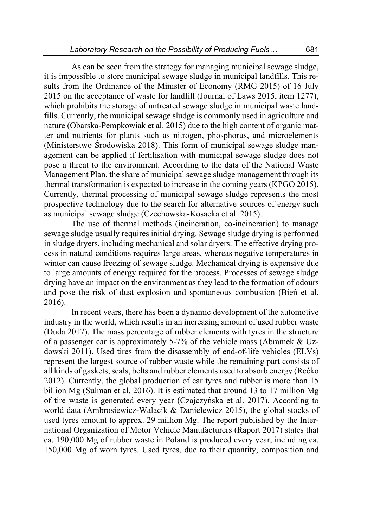As can be seen from the strategy for managing municipal sewage sludge, it is impossible to store municipal sewage sludge in municipal landfills. This results from the Ordinance of the Minister of Economy (RMG 2015) of 16 July 2015 on the acceptance of waste for landfill (Journal of Laws 2015, item 1277), which prohibits the storage of untreated sewage sludge in municipal waste landfills. Currently, the municipal sewage sludge is commonly used in agriculture and nature (Obarska-Pempkowiak et al. 2015) due to the high content of organic matter and nutrients for plants such as nitrogen, phosphorus, and microelements (Ministerstwo Środowiska 2018). This form of municipal sewage sludge management can be applied if fertilisation with municipal sewage sludge does not pose a threat to the environment. According to the data of the National Waste Management Plan, the share of municipal sewage sludge management through its thermal transformation is expected to increase in the coming years (KPGO 2015). Currently, thermal processing of municipal sewage sludge represents the most prospective technology due to the search for alternative sources of energy such as municipal sewage sludge (Czechowska-Kosacka et al. 2015).

The use of thermal methods (incineration, co-incineration) to manage sewage sludge usually requires initial drying. Sewage sludge drying is performed in sludge dryers, including mechanical and solar dryers. The effective drying process in natural conditions requires large areas, whereas negative temperatures in winter can cause freezing of sewage sludge. Mechanical drying is expensive due to large amounts of energy required for the process. Processes of sewage sludge drying have an impact on the environment as they lead to the formation of odours and pose the risk of dust explosion and spontaneous combustion (Bień et al. 2016).

In recent years, there has been a dynamic development of the automotive industry in the world, which results in an increasing amount of used rubber waste (Duda 2017). The mass percentage of rubber elements with tyres in the structure of a passenger car is approximately 5-7% of the vehicle mass (Abramek & Uzdowski 2011). Used tires from the disassembly of end-of-life vehicles (ELVs) represent the largest source of rubber waste while the remaining part consists of all kinds of gaskets, seals, belts and rubber elements used to absorb energy (Rećko 2012). Currently, the global production of car tyres and rubber is more than 15 billion Mg (Sulman et al. 2016). It is estimated that around 13 to 17 million Mg of tire waste is generated every year (Czajczyńska et al. 2017). According to world data (Ambrosiewicz-Walacik & Danielewicz 2015), the global stocks of used tyres amount to approx. 29 million Mg. The report published by the International Organization of Motor Vehicle Manufacturers (Raport 2017) states that ca. 190,000 Mg of rubber waste in Poland is produced every year, including ca. 150,000 Mg of worn tyres. Used tyres, due to their quantity, composition and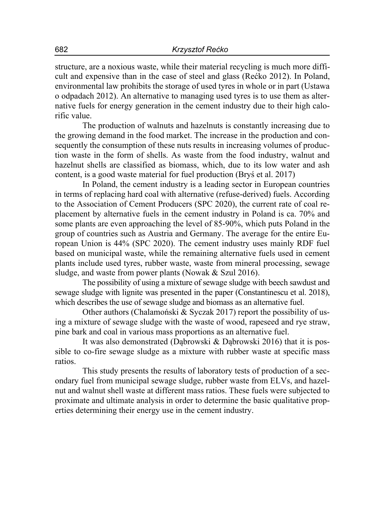structure, are a noxious waste, while their material recycling is much more difficult and expensive than in the case of steel and glass (Rećko 2012). In Poland, environmental law prohibits the storage of used tyres in whole or in part (Ustawa o odpadach 2012). An alternative to managing used tyres is to use them as alternative fuels for energy generation in the cement industry due to their high calorific value.

The production of walnuts and hazelnuts is constantly increasing due to the growing demand in the food market. The increase in the production and consequently the consumption of these nuts results in increasing volumes of production waste in the form of shells. As waste from the food industry, walnut and hazelnut shells are classified as biomass, which, due to its low water and ash content, is a good waste material for fuel production (Bryś et al. 2017)

In Poland, the cement industry is a leading sector in European countries in terms of replacing hard coal with alternative (refuse-derived) fuels. According to the Association of Cement Producers (SPC 2020), the current rate of coal replacement by alternative fuels in the cement industry in Poland is ca. 70% and some plants are even approaching the level of 85-90%, which puts Poland in the group of countries such as Austria and Germany. The average for the entire European Union is 44% (SPC 2020). The cement industry uses mainly RDF fuel based on municipal waste, while the remaining alternative fuels used in cement plants include used tyres, rubber waste, waste from mineral processing, sewage sludge, and waste from power plants (Nowak & Szul 2016).

The possibility of using a mixture of sewage sludge with beech sawdust and sewage sludge with lignite was presented in the paper (Constantinescu et al. 2018), which describes the use of sewage sludge and biomass as an alternative fuel.

Other authors (Chalamoński & Syczak 2017) report the possibility of using a mixture of sewage sludge with the waste of wood, rapeseed and rye straw, pine bark and coal in various mass proportions as an alternative fuel.

It was also demonstrated (Dąbrowski & Dąbrowski 2016) that it is possible to co-fire sewage sludge as a mixture with rubber waste at specific mass ratios.

This study presents the results of laboratory tests of production of a secondary fuel from municipal sewage sludge, rubber waste from ELVs, and hazelnut and walnut shell waste at different mass ratios. These fuels were subjected to proximate and ultimate analysis in order to determine the basic qualitative properties determining their energy use in the cement industry.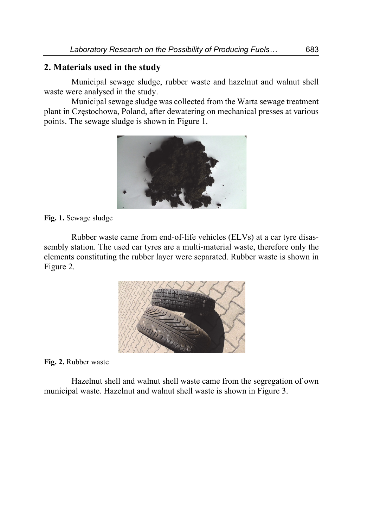### **2. Materials used in the study**

Municipal sewage sludge, rubber waste and hazelnut and walnut shell waste were analysed in the study.

Municipal sewage sludge was collected from the Warta sewage treatment plant in Częstochowa, Poland, after dewatering on mechanical presses at various points. The sewage sludge is shown in Figure 1.



**Fig. 1.** Sewage sludge

Rubber waste came from end-of-life vehicles (ELVs) at a car tyre disassembly station. The used car tyres are a multi-material waste, therefore only the elements constituting the rubber layer were separated. Rubber waste is shown in Figure 2.



**Fig. 2.** Rubber waste

Hazelnut shell and walnut shell waste came from the segregation of own municipal waste. Hazelnut and walnut shell waste is shown in Figure 3.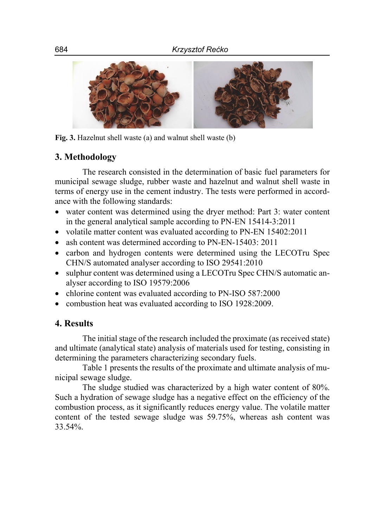

**Fig. 3.** Hazelnut shell waste (a) and walnut shell waste (b)

# **3. Methodology**

The research consisted in the determination of basic fuel parameters for municipal sewage sludge, rubber waste and hazelnut and walnut shell waste in terms of energy use in the cement industry. The tests were performed in accordance with the following standards:

- water content was determined using the dryer method: Part 3: water content in the general analytical sample according to PN-EN 15414-3:2011
- volatile matter content was evaluated according to PN-EN 15402:2011
- ash content was determined according to PN-EN-15403: 2011
- carbon and hydrogen contents were determined using the LECOTru Spec CHN/S automated analyser according to ISO 29541:2010
- sulphur content was determined using a LECOTru Spec CHN/S automatic analyser according to ISO 19579:2006
- chlorine content was evaluated according to PN-ISO 587:2000
- combustion heat was evaluated according to ISO 1928:2009.

# **4. Results**

The initial stage of the research included the proximate (as received state) and ultimate (analytical state) analysis of materials used for testing, consisting in determining the parameters characterizing secondary fuels.

Table 1 presents the results of the proximate and ultimate analysis of municipal sewage sludge.

The sludge studied was characterized by a high water content of 80%. Such a hydration of sewage sludge has a negative effect on the efficiency of the combustion process, as it significantly reduces energy value. The volatile matter content of the tested sewage sludge was 59.75%, whereas ash content was 33.54%.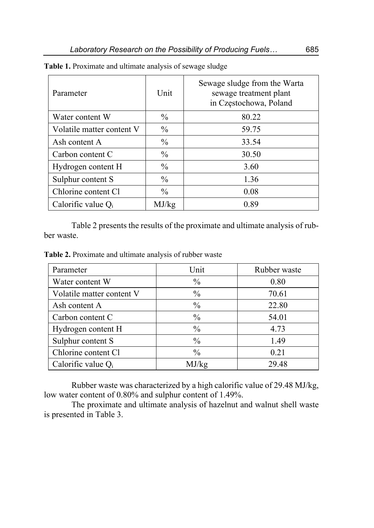| Parameter                 | Unit          | Sewage sludge from the Warta<br>sewage treatment plant<br>in Częstochowa, Poland |
|---------------------------|---------------|----------------------------------------------------------------------------------|
| Water content W           | $\frac{0}{0}$ | 80.22                                                                            |
| Volatile matter content V | $\%$          | 59.75                                                                            |
| Ash content A             | $\%$          | 33.54                                                                            |
| Carbon content C          | $\frac{0}{0}$ | 30.50                                                                            |
| Hydrogen content H        | $\%$          | 3.60                                                                             |
| Sulphur content S         | $\frac{0}{0}$ | 1.36                                                                             |
| Chlorine content Cl       | $\frac{0}{0}$ | 0.08                                                                             |
| Calorific value $Q_i$     | MJ/kg         | 0.89                                                                             |

**Table 1.** Proximate and ultimate analysis of sewage sludge

Table 2 presents the results of the proximate and ultimate analysis of rubber waste.

**Table 2.** Proximate and ultimate analysis of rubber waste

| Parameter                 | Unit          | Rubber waste |
|---------------------------|---------------|--------------|
| Water content W           | $\frac{0}{0}$ | 0.80         |
| Volatile matter content V | $\frac{0}{0}$ | 70.61        |
| Ash content A             | $\frac{0}{0}$ | 22.80        |
| Carbon content C          | $\frac{0}{0}$ | 54.01        |
| Hydrogen content H        | $\frac{0}{0}$ | 4.73         |
| Sulphur content S         | $\frac{0}{0}$ | 1.49         |
| Chlorine content Cl       | $\frac{0}{0}$ | 0.21         |
| Calorific value $Q_i$     | MJ/kg         | 29.48        |

Rubber waste was characterized by a high calorific value of 29.48 MJ/kg, low water content of 0.80% and sulphur content of 1.49%.

The proximate and ultimate analysis of hazelnut and walnut shell waste is presented in Table 3.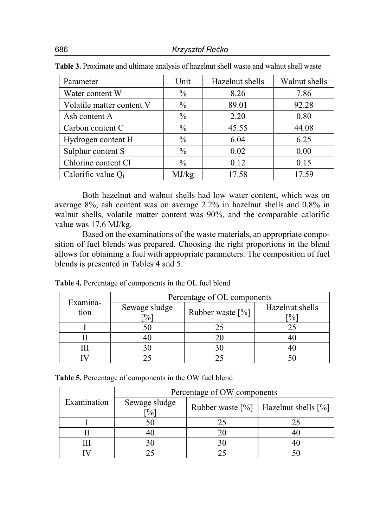| Parameter                 | Unit          | Hazelnut shells | Walnut shells |
|---------------------------|---------------|-----------------|---------------|
| Water content W           | $\frac{0}{0}$ | 8.26            | 7.86          |
| Volatile matter content V | $\%$          | 89.01           | 92.28         |
| Ash content A             | $\frac{0}{0}$ | 2.20            | 0.80          |
| Carbon content C          | $\frac{0}{0}$ | 45.55           | 44.08         |
| Hydrogen content H        | $\frac{0}{0}$ | 6.04            | 6.25          |
| Sulphur content S         | $\frac{0}{0}$ | 0.02            | 0.00          |
| Chlorine content Cl       | $\frac{0}{0}$ | 0.12            | 0.15          |
| Calorific value $Q_i$     | MJ/kg         | 17.58           | 17.59         |

**Table 3.** Proximate and ultimate analysis of hazelnut shell waste and walnut shell waste

Both hazelnut and walnut shells had low water content, which was on average 8%, ash content was on average 2.2% in hazelnut shells and 0.8% in walnut shells, volatile matter content was 90%, and the comparable calorific value was 17.6 MJ/kg.

Based on the examinations of the waste materials, an appropriate composition of fuel blends was prepared. Choosing the right proportions in the blend allows for obtaining a fuel with appropriate parameters. The composition of fuel blends is presented in Tables 4 and 5.

| Examina-                                   | Percentage of OL components |                  |                                  |  |
|--------------------------------------------|-----------------------------|------------------|----------------------------------|--|
| Sewage sludge<br>tion<br>$\lceil\% \rceil$ |                             | Rubber waste [%] | Hazelnut shells<br>$\frac{0}{0}$ |  |
|                                            |                             | 75               |                                  |  |
|                                            |                             |                  |                                  |  |
|                                            | 30                          |                  |                                  |  |
|                                            |                             |                  |                                  |  |

**Table 4.** Percentage of components in the OL fuel blend

| Table 5. Percentage of components in the OW fuel blend |  |  |  |  |
|--------------------------------------------------------|--|--|--|--|
|--------------------------------------------------------|--|--|--|--|

|             | Percentage of OW components                  |    |                                                                    |  |
|-------------|----------------------------------------------|----|--------------------------------------------------------------------|--|
| Examination | Sewage sludge<br>$\lceil \frac{9}{6} \rceil$ |    | Rubber waste $\lceil\% \rceil$   Hazelnut shells $\lceil\% \rceil$ |  |
|             |                                              | 25 |                                                                    |  |
|             |                                              | 20 | 41                                                                 |  |
|             |                                              | 30 | 4(                                                                 |  |
|             |                                              |    |                                                                    |  |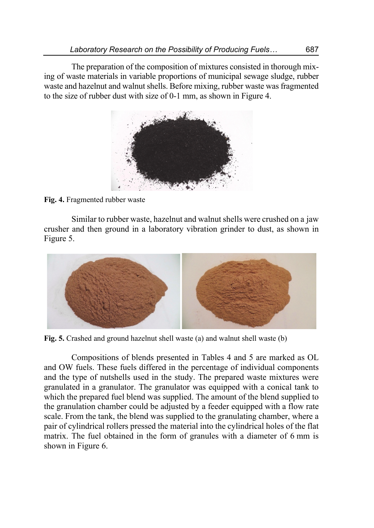The preparation of the composition of mixtures consisted in thorough mixing of waste materials in variable proportions of municipal sewage sludge, rubber waste and hazelnut and walnut shells. Before mixing, rubber waste was fragmented to the size of rubber dust with size of 0-1 mm, as shown in Figure 4.



**Fig. 4.** Fragmented rubber waste

Similar to rubber waste, hazelnut and walnut shells were crushed on a jaw crusher and then ground in a laboratory vibration grinder to dust, as shown in Figure 5.



**Fig. 5.** Crashed and ground hazelnut shell waste (a) and walnut shell waste (b)

Compositions of blends presented in Tables 4 and 5 are marked as OL and OW fuels. These fuels differed in the percentage of individual components and the type of nutshells used in the study. The prepared waste mixtures were granulated in a granulator. The granulator was equipped with a conical tank to which the prepared fuel blend was supplied. The amount of the blend supplied to the granulation chamber could be adjusted by a feeder equipped with a flow rate scale. From the tank, the blend was supplied to the granulating chamber, where a pair of cylindrical rollers pressed the material into the cylindrical holes of the flat matrix. The fuel obtained in the form of granules with a diameter of 6 mm is shown in Figure 6.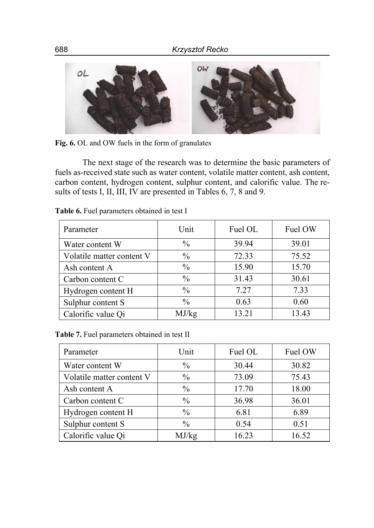

**Fig. 6.** OL and OW fuels in the form of granulates

The next stage of the research was to determine the basic parameters of fuels as-received state such as water content, volatile matter content, ash content, carbon content, hydrogen content, sulphur content, and calorific value. The results of tests I, II, III, IV are presented in Tables 6, 7, 8 and 9.

| Parameter                 | Unit          | Fuel OL | Fuel OW |
|---------------------------|---------------|---------|---------|
| Water content W           | $\frac{0}{0}$ | 39.94   | 39.01   |
| Volatile matter content V | $\frac{0}{0}$ | 72.33   | 75.52   |
| Ash content A             | $\frac{0}{0}$ | 15.90   | 15.70   |
| Carbon content C          | $\frac{0}{0}$ | 31.43   | 30.61   |
| Hydrogen content H        | $\frac{0}{0}$ | 7.27    | 7.33    |
| Sulphur content S         | $\frac{0}{0}$ | 0.63    | 0.60    |
| Calorific value Qi        | MJ/kg         | 13.21   | 13.43   |

**Table 6.** Fuel parameters obtained in test I

**Table 7.** Fuel parameters obtained in test II

| Parameter                 | Unit          | Fuel OL | Fuel OW |
|---------------------------|---------------|---------|---------|
| Water content W           | $\frac{0}{0}$ | 30.44   | 30.82   |
| Volatile matter content V | $\frac{0}{0}$ | 73.09   | 75.43   |
| Ash content A             | $\%$          | 17.70   | 18.00   |
| Carbon content C          | $\frac{0}{0}$ | 36.98   | 36.01   |
| Hydrogen content H        | $\%$          | 6.81    | 6.89    |
| Sulphur content S         | $\frac{0}{0}$ | 0.54    | 0.51    |
| Calorific value Qi        | MJ/kg         | 16.23   | 16.52   |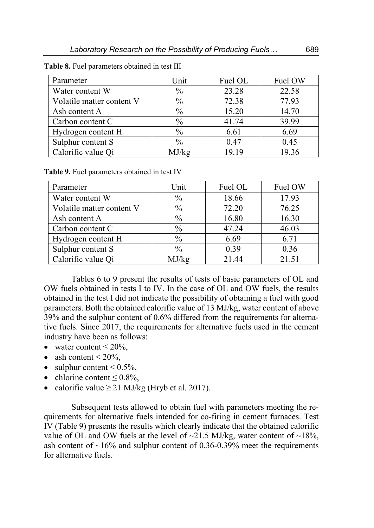| Parameter                 | Unit          | Fuel OL | Fuel OW |
|---------------------------|---------------|---------|---------|
| Water content W           | $\frac{0}{0}$ | 23.28   | 22.58   |
| Volatile matter content V | $\frac{0}{0}$ | 72.38   | 77.93   |
| Ash content A             | $\frac{0}{0}$ | 15.20   | 14.70   |
| Carbon content C          | $\frac{0}{0}$ | 41.74   | 39.99   |
| Hydrogen content H        | $\frac{0}{0}$ | 6.61    | 6.69    |
| Sulphur content S         | $\frac{0}{0}$ | 0.47    | 0.45    |
| Calorific value Qi        | MJ/kg         | 19.19   | 19.36   |

**Table 8.** Fuel parameters obtained in test III

**Table 9.** Fuel parameters obtained in test IV

| Parameter                 | Unit          | Fuel OL | Fuel OW |
|---------------------------|---------------|---------|---------|
| Water content W           | $\frac{0}{0}$ | 18.66   | 17.93   |
| Volatile matter content V | $\frac{0}{0}$ | 72.20   | 76.25   |
| Ash content A             | $\frac{0}{0}$ | 16.80   | 16.30   |
| Carbon content C          | $\frac{0}{0}$ | 47.24   | 46.03   |
| Hydrogen content H        | $\frac{0}{0}$ | 6.69    | 6.71    |
| Sulphur content S         | $\%$          | 0.39    | 0.36    |
| Calorific value Qi        | MJ/kg         | 21.44   | 21.51   |

Tables 6 to 9 present the results of tests of basic parameters of OL and OW fuels obtained in tests I to IV. In the case of OL and OW fuels, the results obtained in the test I did not indicate the possibility of obtaining a fuel with good parameters. Both the obtained calorific value of 13 MJ/kg, water content of above 39% and the sulphur content of 0.6% differed from the requirements for alternative fuels. Since 2017, the requirements for alternative fuels used in the cement industry have been as follows:

- water content  $\leq 20\%$ ,
- ash content  $\leq 20\%$ ,
- sulphur content  $\leq 0.5\%$ ,
- chlorine content  $\leq 0.8\%$ ,
- calorific value  $\geq$  21 MJ/kg (Hryb et al. 2017).

Subsequent tests allowed to obtain fuel with parameters meeting the requirements for alternative fuels intended for co-firing in cement furnaces. Test IV (Table 9) presents the results which clearly indicate that the obtained calorific value of OL and OW fuels at the level of  $\sim$ 21.5 MJ/kg, water content of  $\sim$ 18%, ash content of  $~16\%$  and sulphur content of 0.36-0.39% meet the requirements for alternative fuels.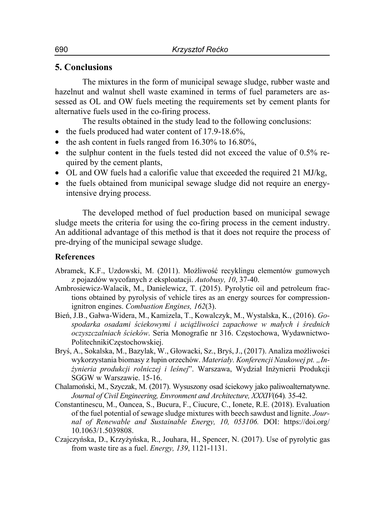### **5. Conclusions**

The mixtures in the form of municipal sewage sludge, rubber waste and hazelnut and walnut shell waste examined in terms of fuel parameters are assessed as OL and OW fuels meeting the requirements set by cement plants for alternative fuels used in the co-firing process.

The results obtained in the study lead to the following conclusions:

- $\bullet$  the fuels produced had water content of 17.9-18.6%,
- $\bullet$  the ash content in fuels ranged from 16.30% to 16.80%,
- $\bullet$  the sulphur content in the fuels tested did not exceed the value of 0.5% required by the cement plants,
- OL and OW fuels had a calorific value that exceeded the required 21 MJ/kg,
- the fuels obtained from municipal sewage sludge did not require an energyintensive drying process.

The developed method of fuel production based on municipal sewage sludge meets the criteria for using the co-firing process in the cement industry. An additional advantage of this method is that it does not require the process of pre-drying of the municipal sewage sludge.

### **References**

- Abramek, K.F., Uzdowski, M. (2011). Możliwość recyklingu elementów gumowych z pojazdów wycofanych z eksploatacji. *Autobusy, 10*, 37-40.
- Ambrosiewicz-Walacik, M., Danielewicz, T. (2015). Pyrolytic oil and petroleum fractions obtained by pyrolysis of vehicle tires as an energy sources for compressionignitron engines. *Combustion Engines, 162*(3).
- Bień, J.B., Gałwa-Widera, M., Kamizela, T., Kowalczyk, M., Wystalska, K., (2016). *Gospodarka osadami ściekowymi i uciążliwości zapachowe w małych i średnich oczyszczalniach ścieków*. Seria Monografie nr 316. Częstochowa, Wydawnictwo-PolitechnikiCzęstochowskiej.
- Bryś, A., Sokalska, M., Bazylak, W., Głowacki, Sz., Bryś, J., (2017). Analiza możliwości wykorzystania biomasy z łupin orzechów. *Materiały. Konferencji Naukowej pt. "Inżynieria produkcji rolniczej i leśnej*". Warszawa, Wydział Inżynierii Produkcji SGGW w Warszawie. 15-16.
- Chalamoński, M., Szyczak, M. (2017). Wysuszony osad ściekowy jako paliwoalternatywne. *Journal of Civil Engineering, Envronment and Architecture, XXXIV*(64)*.* 35-42.
- Constantinescu, M., Oancea, S., Bucura, F., Ciucure, C., Ionete, R.E. (2018). Evaluation of the fuel potential of sewage sludge mixtures with beech sawdust and lignite. *Journal of Renewable and Sustainable Energy, 10, 053106.* DOI: https://doi.org/ 10.1063/1.5039808.
- Czajczyńska, D., Krzyżyńska, R., Jouhara, H., Spencer, N. (2017). Use of pyrolytic gas from waste tire as a fuel. *Energy, 139*, 1121-1131.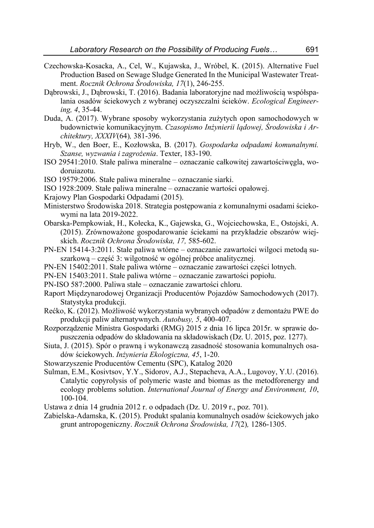- Czechowska-Kosacka, A., Cel, W., Kujawska, J., Wróbel, K. (2015). Alternative Fuel Production Based on Sewage Sludge Generated In the Municipal Wastewater Treatment. *Rocznik Ochrona Środowiska, 17*(1), 246-255.
- Dąbrowski, J., Dąbrowski, T. (2016). Badania laboratoryjne nad możliwością współspalania osadów ściekowych z wybranej oczyszczalni ścieków. *Ecological Engineering, 4*, 35-44.
- Duda, A. (2017). Wybrane sposoby wykorzystania zużytych opon samochodowych w budownictwie komunikacyjnym. *Czasopismo Inżynierii lądowej, Środowiska i Architektury, XXXIV*(64)*,* 381-396.
- Hryb, W., den Boer, E., Kozłowska, B. (2017). *Gospodarka odpadami komunalnymi. Szanse, wyzwania i zagrożenia*. Texter, 183-190.
- ISO 29541:2010. Stałe paliwa mineralne oznaczanie całkowitej zawartościwęgla, wodoruiazotu.
- ISO 19579:2006. Stałe paliwa mineralne oznaczanie siarki.
- ISO 1928:2009. Stałe paliwa mineralne oznaczanie wartości opałowej.
- Krajowy Plan Gospodarki Odpadami (2015).
- Ministerstwo Środowiska 2018. Strategia postępowania z komunalnymi osadami ściekowymi na lata 2019-2022.
- Obarska-Pempkowiak, H., Kołecka, K., Gajewska, G., Wojciechowska, E., Ostojski, A. (2015). Zrównoważone gospodarowanie ściekami na przykładzie obszarów wiejskich. *Rocznik Ochrona Środowiska, 17,* 585-602.
- PN-EN 15414-3:2011. Stałe paliwa wtórne oznaczanie zawartości wilgoci metodą suszarkową – część 3: wilgotność w ogólnej próbce analitycznej.
- PN-EN 15402:2011. Stałe paliwa wtórne oznaczanie zawartości części lotnych.
- PN-EN 15403:2011. Stałe paliwa wtórne oznaczanie zawartości popiołu.
- PN-ISO 587:2000. Paliwa stałe oznaczanie zawartości chloru.
- Raport Międzynarodowej Organizacji Producentów Pojazdów Samochodowych (2017). Statystyka produkcji.
- Rećko, K. (2012). Możliwość wykorzystania wybranych odpadów z demontażu PWE do produkcji paliw alternatywnych. *Autobusy, 5*, 400-407.
- Rozporządzenie Ministra Gospodarki (RMG) 2015 z dnia 16 lipca 2015r. w sprawie dopuszczenia odpadów do składowania na składowiskach (Dz. U. 2015, poz. 1277).
- Siuta, J. (2015). Spór o prawną i wykonawczą zasadność stosowania komunalnych osadów ściekowych. *Inżynieria Ekologiczna, 45*, 1-20.
- Stowarzyszenie Producentów Cementu (SPC), Katalog 2020
- Sulman, E.M., Kosivtsov, Y.Y., Sidorov, A.J., Stepacheva, A.A., Lugovoy, Y.U. (2016). Catalytic copyrolysis of polymeric waste and biomas as the metodforenergy and ecology problems solution. *International Journal of Energy and Environment, 10*, 100-104.
- Ustawa z dnia 14 grudnia 2012 r. o odpadach (Dz. U. 2019 r., poz. 701).
- Zabielska-Adamska, K. (2015). Produkt spalania komunalnych osadów ściekowych jako grunt antropogeniczny. *Rocznik Ochrona Środowiska, 17*(2)*,* 1286-1305.